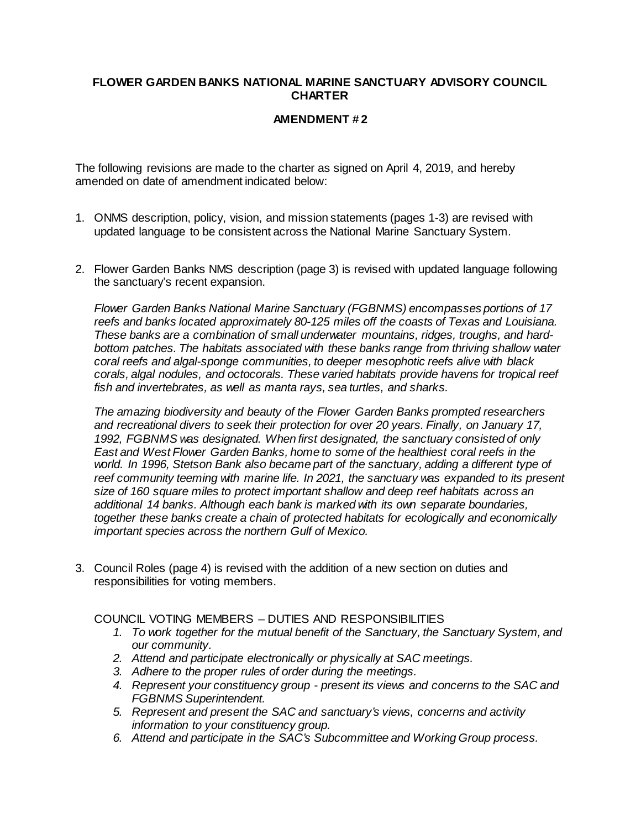## **FLOWER GARDEN BANKS NATIONAL MARINE SANCTUARY ADVISORY COUNCIL CHARTER**

## **AMENDMENT # 2**

The following revisions are made to the charter as signed on April 4, 2019, and hereby amended on date of amendment indicated below:

- 1. ONMS description, policy, vision, and mission statements (pages 1-3) are revised with updated language to be consistent across the National Marine Sanctuary System.
- 2. Flower Garden Banks NMS description (page 3) is revised with updated language following the sanctuary's recent expansion.

*Flower Garden Banks National Marine Sanctuary (FGBNMS) encompasses portions of 17 reefs and banks located approximately 80-125 miles off the coasts of Texas and Louisiana. These banks are a combination of small underwater mountains, ridges, troughs, and hardbottom patches. The habitats associated with these banks range from thriving shallow water coral reefs and algal-sponge communities, to deeper mesophotic reefs alive with black corals, algal nodules, and octocorals. These varied habitats provide havens for tropical reef fish and invertebrates, as well as manta rays, sea turtles, and sharks.*

*The amazing biodiversity and beauty of the Flower Garden Banks prompted researchers and recreational divers to seek their protection for over 20 years. Finally, on January 17, 1992, FGBNMS was designated. When first designated, the sanctuary consisted of only East and West Flower Garden Banks, home to some of the healthiest coral reefs in the world. In 1996, Stetson Bank also became part of the sanctuary, adding a different type of*  reef community teeming with marine life. In 2021, the sanctuary was expanded to its present *size of 160 square miles to protect important shallow and deep reef habitats across an additional 14 banks. Although each bank is marked with its own separate boundaries, together these banks create a chain of protected habitats for ecologically and economically important species across the northern Gulf of Mexico.*

3. Council Roles (page 4) is revised with the addition of a new section on duties and responsibilities for voting members.

COUNCIL VOTING MEMBERS – DUTIES AND RESPONSIBILITIES

- *1. To work together for the mutual benefit of the Sanctuary, the Sanctuary System, and our community.*
- *2. Attend and participate electronically or physically at SAC meetings.*
- *3. Adhere to the proper rules of order during the meetings.*
- *4. Represent your constituency group present its views and concerns to the SAC and FGBNMS Superintendent.*
- *5. Represent and present the SAC and sanctuary's views, concerns and activity information to your constituency group.*
- *6. Attend and participate in the SAC's Subcommittee and Working Group process.*